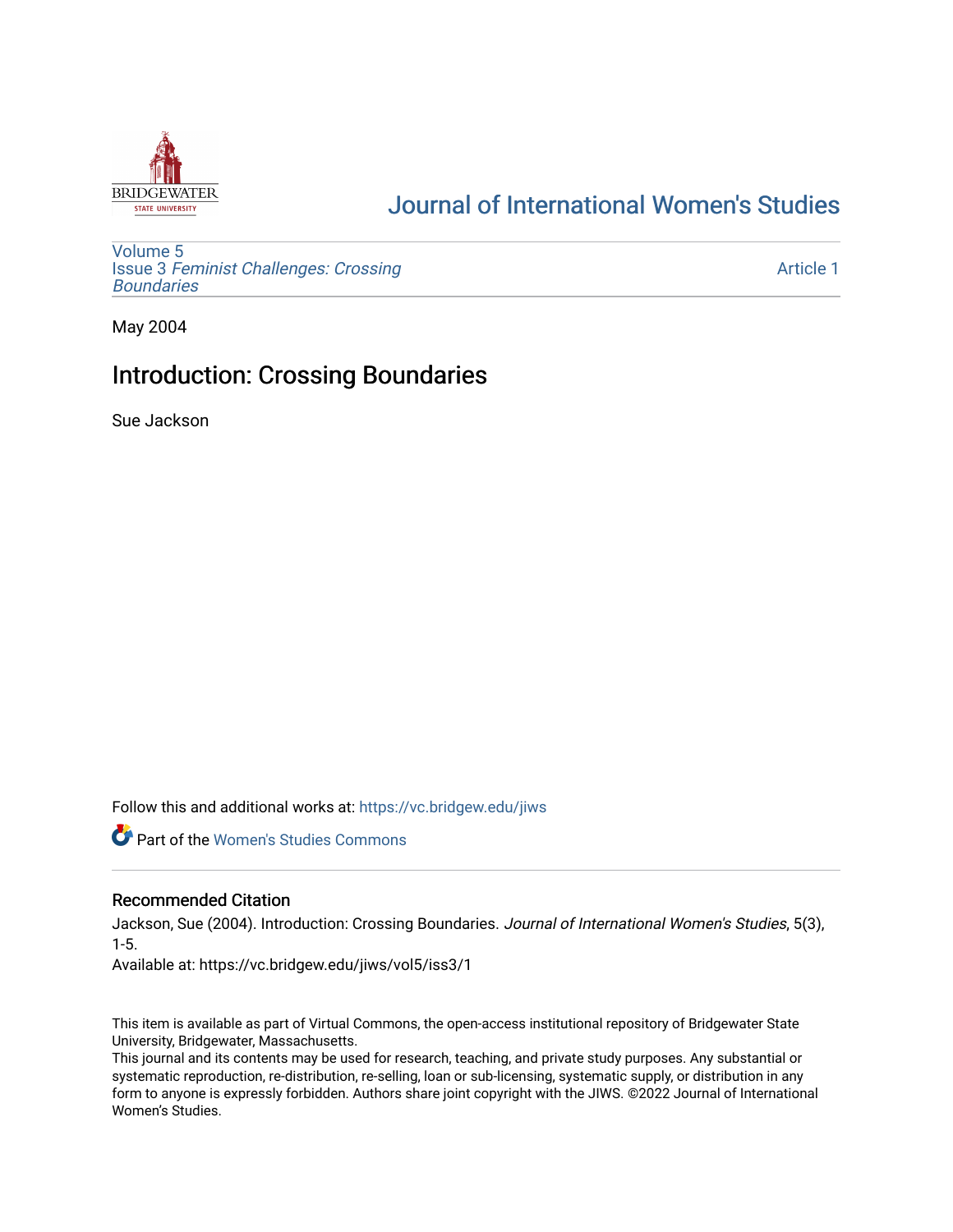

# [Journal of International Women's Studies](https://vc.bridgew.edu/jiws)

[Volume 5](https://vc.bridgew.edu/jiws/vol5) Issue 3 [Feminist Challenges: Crossing](https://vc.bridgew.edu/jiws/vol5/iss3) **[Boundaries](https://vc.bridgew.edu/jiws/vol5/iss3)** 

[Article 1](https://vc.bridgew.edu/jiws/vol5/iss3/1) 

May 2004

## Introduction: Crossing Boundaries

Sue Jackson

Follow this and additional works at: [https://vc.bridgew.edu/jiws](https://vc.bridgew.edu/jiws?utm_source=vc.bridgew.edu%2Fjiws%2Fvol5%2Fiss3%2F1&utm_medium=PDF&utm_campaign=PDFCoverPages)

**C** Part of the Women's Studies Commons

### Recommended Citation

Jackson, Sue (2004). Introduction: Crossing Boundaries. Journal of International Women's Studies, 5(3), 1-5.

Available at: https://vc.bridgew.edu/jiws/vol5/iss3/1

This item is available as part of Virtual Commons, the open-access institutional repository of Bridgewater State University, Bridgewater, Massachusetts.

This journal and its contents may be used for research, teaching, and private study purposes. Any substantial or systematic reproduction, re-distribution, re-selling, loan or sub-licensing, systematic supply, or distribution in any form to anyone is expressly forbidden. Authors share joint copyright with the JIWS. ©2022 Journal of International Women's Studies.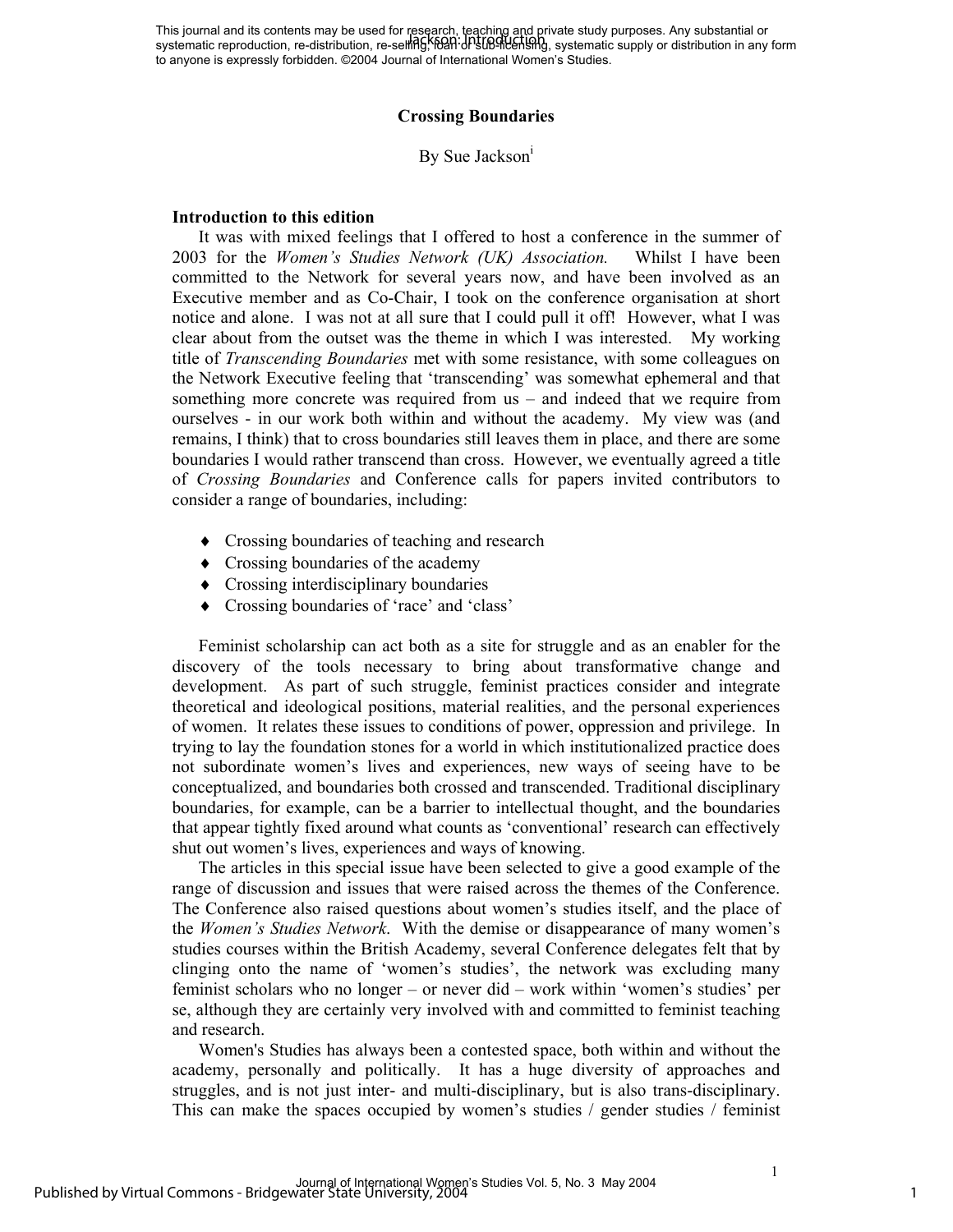This journal and its contents may be used for research, teaching and private study purposes. Any substantial or This journal and its contents may be used for research, requiring and private study purposes. Any substantial or<br>systematic reproduction, re-distribution, re-selling, RDAH-UP studented sharp, systematic supply or distribut to anyone is expressly forbidden. ©2004 Journal of International Women's Studies.

#### **Crossing Boundaries**

By Sue Jackson<sup>1</sup>

#### **Introduction to this edition**

It was with mixed feelings that I offered to host a conference in the summer of 2003 for the *Women's Studies Network (UK) Association.* Whilst I have been committed to the Network for several years now, and have been involved as an Executive member and as Co-Chair, I took on the conference organisation at short notice and alone. I was not at all sure that I could pull it off! However, what I was clear about from the outset was the theme in which I was interested. My working title of *Transcending Boundaries* met with some resistance, with some colleagues on the Network Executive feeling that 'transcending' was somewhat ephemeral and that something more concrete was required from us – and indeed that we require from ourselves - in our work both within and without the academy. My view was (and remains, I think) that to cross boundaries still leaves them in place, and there are some boundaries I would rather transcend than cross. However, we eventually agreed a title of *Crossing Boundaries* and Conference calls for papers invited contributors to consider a range of boundaries, including:

- ♦ Crossing boundaries of teaching and research
- ♦ Crossing boundaries of the academy
- ♦ Crossing interdisciplinary boundaries
- ♦ Crossing boundaries of 'race' and 'class'

Feminist scholarship can act both as a site for struggle and as an enabler for the discovery of the tools necessary to bring about transformative change and development. As part of such struggle, feminist practices consider and integrate theoretical and ideological positions, material realities, and the personal experiences of women. It relates these issues to conditions of power, oppression and privilege. In trying to lay the foundation stones for a world in which institutionalized practice does not subordinate women's lives and experiences, new ways of seeing have to be conceptualized, and boundaries both crossed and transcended. Traditional disciplinary boundaries, for example, can be a barrier to intellectual thought, and the boundaries that appear tightly fixed around what counts as 'conventional' research can effectively shut out women's lives, experiences and ways of knowing.

The articles in this special issue have been selected to give a good example of the range of discussion and issues that were raised across the themes of the Conference. The Conference also raised questions about women's studies itself, and the place of the *Women's Studies Network*. With the demise or disappearance of many women's studies courses within the British Academy, several Conference delegates felt that by clinging onto the name of 'women's studies', the network was excluding many feminist scholars who no longer – or never did – work within 'women's studies' per se, although they are certainly very involved with and committed to feminist teaching and research.

Women's Studies has always been a contested space, both within and without the academy, personally and politically. It has a huge diversity of approaches and struggles, and is not just inter- and multi-disciplinary, but is also trans-disciplinary. This can make the spaces occupied by women's studies / gender studies / feminist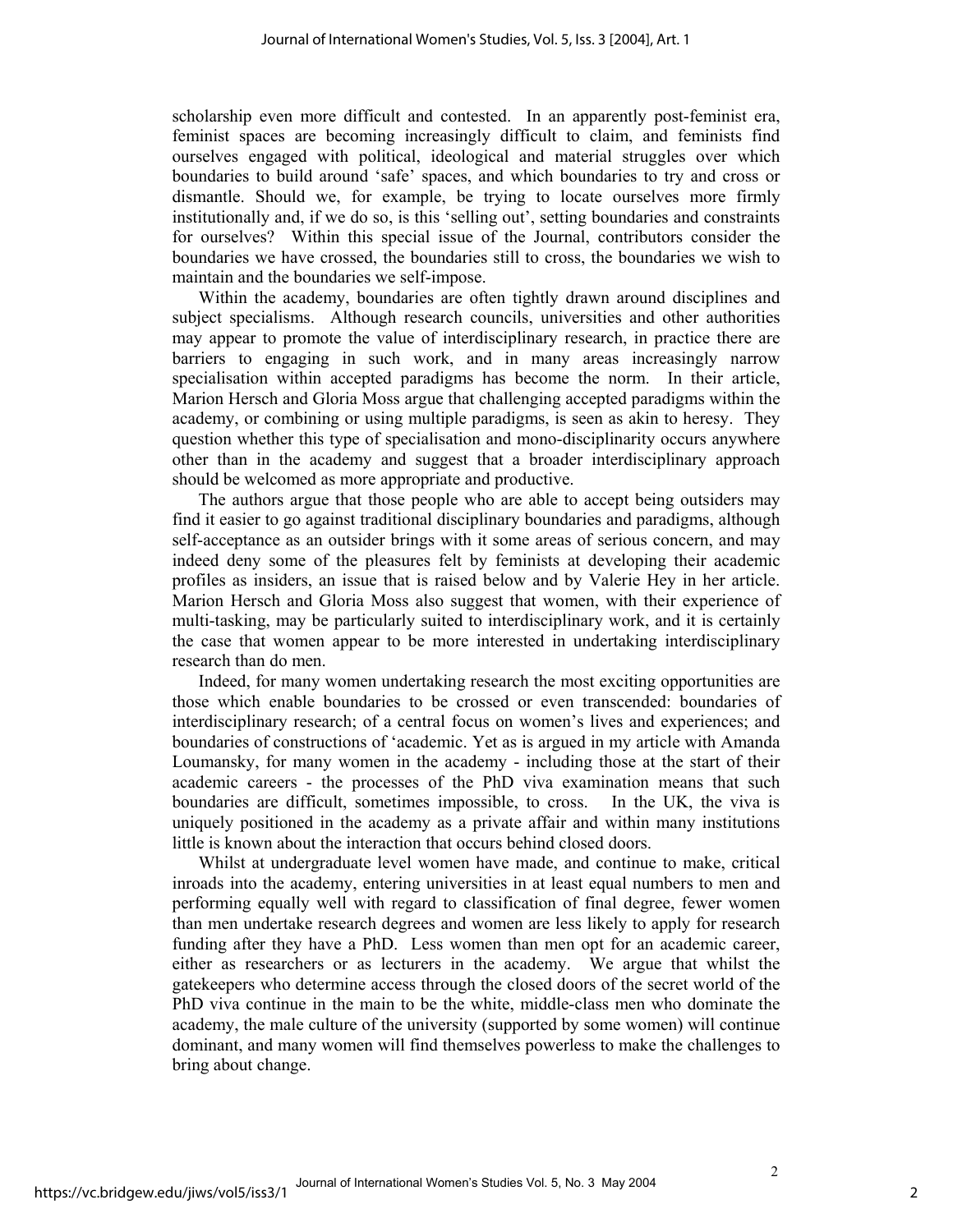scholarship even more difficult and contested. In an apparently post-feminist era, feminist spaces are becoming increasingly difficult to claim, and feminists find ourselves engaged with political, ideological and material struggles over which boundaries to build around 'safe' spaces, and which boundaries to try and cross or dismantle. Should we, for example, be trying to locate ourselves more firmly institutionally and, if we do so, is this 'selling out', setting boundaries and constraints for ourselves? Within this special issue of the Journal, contributors consider the boundaries we have crossed, the boundaries still to cross, the boundaries we wish to maintain and the boundaries we self-impose.

Within the academy, boundaries are often tightly drawn around disciplines and subject specialisms. Although research councils, universities and other authorities may appear to promote the value of interdisciplinary research, in practice there are barriers to engaging in such work, and in many areas increasingly narrow specialisation within accepted paradigms has become the norm. In their article, Marion Hersch and Gloria Moss argue that challenging accepted paradigms within the academy, or combining or using multiple paradigms, is seen as akin to heresy. They question whether this type of specialisation and mono-disciplinarity occurs anywhere other than in the academy and suggest that a broader interdisciplinary approach should be welcomed as more appropriate and productive.

The authors argue that those people who are able to accept being outsiders may find it easier to go against traditional disciplinary boundaries and paradigms, although self-acceptance as an outsider brings with it some areas of serious concern, and may indeed deny some of the pleasures felt by feminists at developing their academic profiles as insiders, an issue that is raised below and by Valerie Hey in her article. Marion Hersch and Gloria Moss also suggest that women, with their experience of multi-tasking, may be particularly suited to interdisciplinary work, and it is certainly the case that women appear to be more interested in undertaking interdisciplinary research than do men.

Indeed, for many women undertaking research the most exciting opportunities are those which enable boundaries to be crossed or even transcended: boundaries of interdisciplinary research; of a central focus on women's lives and experiences; and boundaries of constructions of 'academic. Yet as is argued in my article with Amanda Loumansky, for many women in the academy - including those at the start of their academic careers - the processes of the PhD viva examination means that such boundaries are difficult, sometimes impossible, to cross. In the UK, the viva is uniquely positioned in the academy as a private affair and within many institutions little is known about the interaction that occurs behind closed doors.

Whilst at undergraduate level women have made, and continue to make, critical inroads into the academy, entering universities in at least equal numbers to men and performing equally well with regard to classification of final degree, fewer women than men undertake research degrees and women are less likely to apply for research funding after they have a PhD. Less women than men opt for an academic career, either as researchers or as lecturers in the academy. We argue that whilst the gatekeepers who determine access through the closed doors of the secret world of the PhD viva continue in the main to be the white, middle-class men who dominate the academy, the male culture of the university (supported by some women) will continue dominant, and many women will find themselves powerless to make the challenges to bring about change.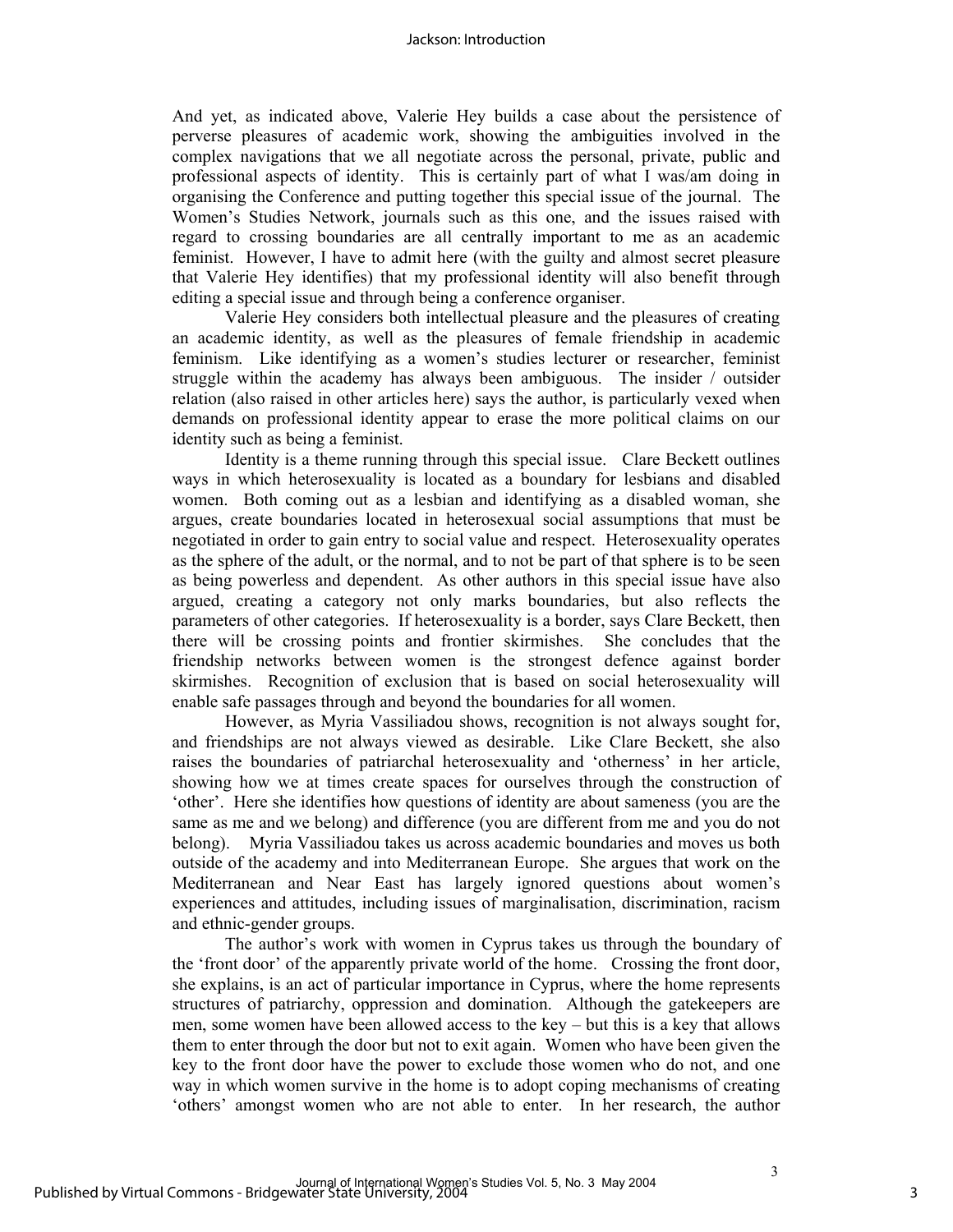#### Jackson: Introduction

And yet, as indicated above, Valerie Hey builds a case about the persistence of perverse pleasures of academic work, showing the ambiguities involved in the complex navigations that we all negotiate across the personal, private, public and professional aspects of identity. This is certainly part of what I was/am doing in organising the Conference and putting together this special issue of the journal. The Women's Studies Network, journals such as this one, and the issues raised with regard to crossing boundaries are all centrally important to me as an academic feminist. However, I have to admit here (with the guilty and almost secret pleasure that Valerie Hey identifies) that my professional identity will also benefit through editing a special issue and through being a conference organiser.

Valerie Hey considers both intellectual pleasure and the pleasures of creating an academic identity, as well as the pleasures of female friendship in academic feminism. Like identifying as a women's studies lecturer or researcher, feminist struggle within the academy has always been ambiguous. The insider / outsider relation (also raised in other articles here) says the author, is particularly vexed when demands on professional identity appear to erase the more political claims on our identity such as being a feminist.

Identity is a theme running through this special issue. Clare Beckett outlines ways in which heterosexuality is located as a boundary for lesbians and disabled women. Both coming out as a lesbian and identifying as a disabled woman, she argues, create boundaries located in heterosexual social assumptions that must be negotiated in order to gain entry to social value and respect. Heterosexuality operates as the sphere of the adult, or the normal, and to not be part of that sphere is to be seen as being powerless and dependent. As other authors in this special issue have also argued, creating a category not only marks boundaries, but also reflects the parameters of other categories. If heterosexuality is a border, says Clare Beckett, then there will be crossing points and frontier skirmishes. She concludes that the friendship networks between women is the strongest defence against border skirmishes. Recognition of exclusion that is based on social heterosexuality will enable safe passages through and beyond the boundaries for all women.

However, as Myria Vassiliadou shows, recognition is not always sought for, and friendships are not always viewed as desirable. Like Clare Beckett, she also raises the boundaries of patriarchal heterosexuality and 'otherness' in her article, showing how we at times create spaces for ourselves through the construction of 'other'. Here she identifies how questions of identity are about sameness (you are the same as me and we belong) and difference (you are different from me and you do not belong). Myria Vassiliadou takes us across academic boundaries and moves us both outside of the academy and into Mediterranean Europe. She argues that work on the Mediterranean and Near East has largely ignored questions about women's experiences and attitudes, including issues of marginalisation, discrimination, racism and ethnic-gender groups.

The author's work with women in Cyprus takes us through the boundary of the 'front door' of the apparently private world of the home. Crossing the front door, she explains, is an act of particular importance in Cyprus, where the home represents structures of patriarchy, oppression and domination. Although the gatekeepers are men, some women have been allowed access to the key – but this is a key that allows them to enter through the door but not to exit again. Women who have been given the key to the front door have the power to exclude those women who do not, and one way in which women survive in the home is to adopt coping mechanisms of creating 'others' amongst women who are not able to enter. In her research, the author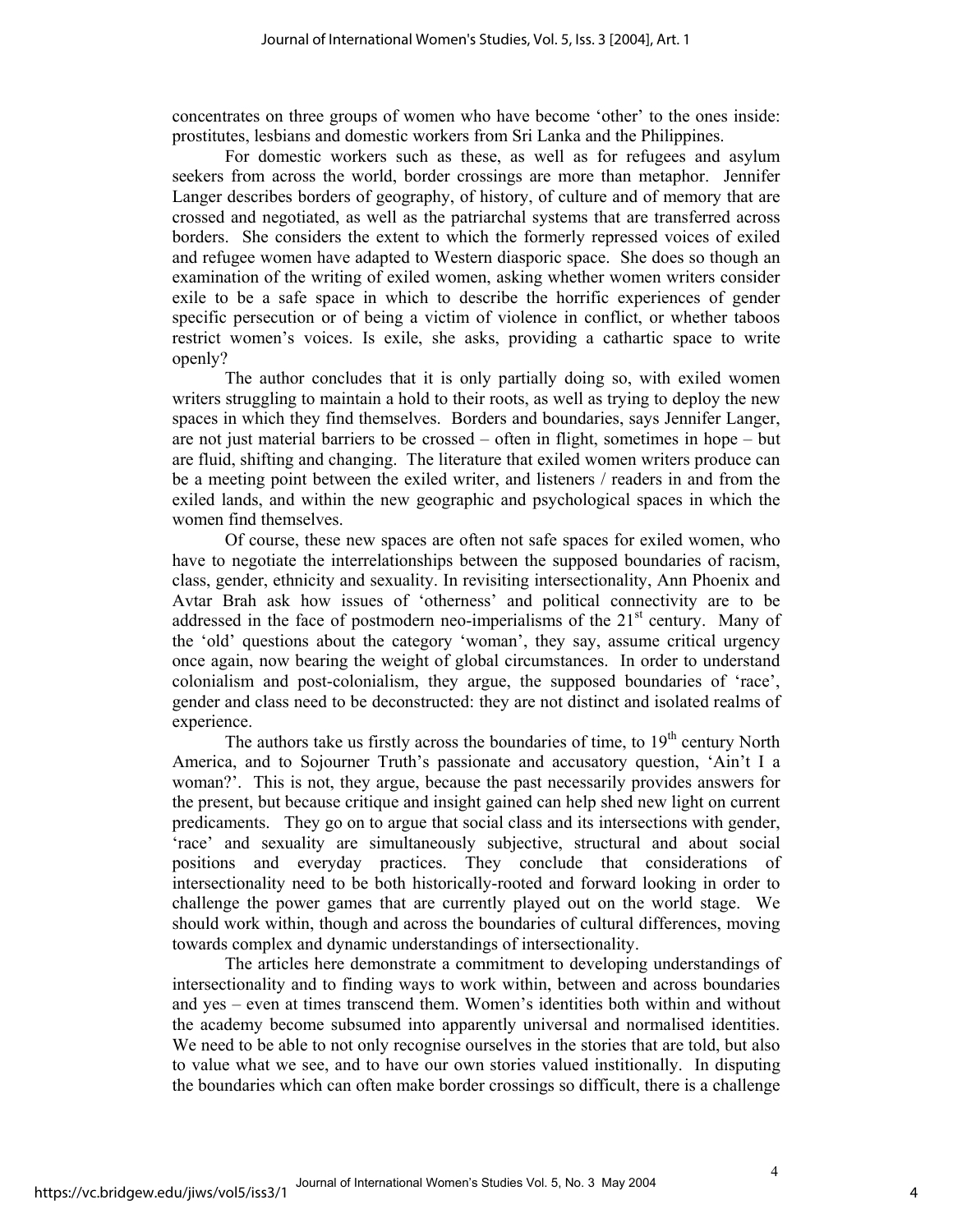concentrates on three groups of women who have become 'other' to the ones inside: prostitutes, lesbians and domestic workers from Sri Lanka and the Philippines.

For domestic workers such as these, as well as for refugees and asylum seekers from across the world, border crossings are more than metaphor. Jennifer Langer describes borders of geography, of history, of culture and of memory that are crossed and negotiated, as well as the patriarchal systems that are transferred across borders. She considers the extent to which the formerly repressed voices of exiled and refugee women have adapted to Western diasporic space. She does so though an examination of the writing of exiled women, asking whether women writers consider exile to be a safe space in which to describe the horrific experiences of gender specific persecution or of being a victim of violence in conflict, or whether taboos restrict women's voices. Is exile, she asks, providing a cathartic space to write openly?

The author concludes that it is only partially doing so, with exiled women writers struggling to maintain a hold to their roots, as well as trying to deploy the new spaces in which they find themselves. Borders and boundaries, says Jennifer Langer, are not just material barriers to be crossed – often in flight, sometimes in hope – but are fluid, shifting and changing. The literature that exiled women writers produce can be a meeting point between the exiled writer, and listeners / readers in and from the exiled lands, and within the new geographic and psychological spaces in which the women find themselves.

Of course, these new spaces are often not safe spaces for exiled women, who have to negotiate the interrelationships between the supposed boundaries of racism, class, gender, ethnicity and sexuality. In revisiting intersectionality, Ann Phoenix and Avtar Brah ask how issues of 'otherness' and political connectivity are to be addressed in the face of postmodern neo-imperialisms of the  $21<sup>st</sup>$  century. Many of the 'old' questions about the category 'woman', they say, assume critical urgency once again, now bearing the weight of global circumstances. In order to understand colonialism and post-colonialism, they argue, the supposed boundaries of 'race', gender and class need to be deconstructed: they are not distinct and isolated realms of experience.

The authors take us firstly across the boundaries of time, to  $19<sup>th</sup>$  century North America, and to Sojourner Truth's passionate and accusatory question, 'Ain't I a woman?'. This is not, they argue, because the past necessarily provides answers for the present, but because critique and insight gained can help shed new light on current predicaments. They go on to argue that social class and its intersections with gender, 'race' and sexuality are simultaneously subjective, structural and about social positions and everyday practices. They conclude that considerations of intersectionality need to be both historically-rooted and forward looking in order to challenge the power games that are currently played out on the world stage. We should work within, though and across the boundaries of cultural differences, moving towards complex and dynamic understandings of intersectionality.

The articles here demonstrate a commitment to developing understandings of intersectionality and to finding ways to work within, between and across boundaries and yes – even at times transcend them. Women's identities both within and without the academy become subsumed into apparently universal and normalised identities. We need to be able to not only recognise ourselves in the stories that are told, but also to value what we see, and to have our own stories valued institionally. In disputing the boundaries which can often make border crossings so difficult, there is a challenge